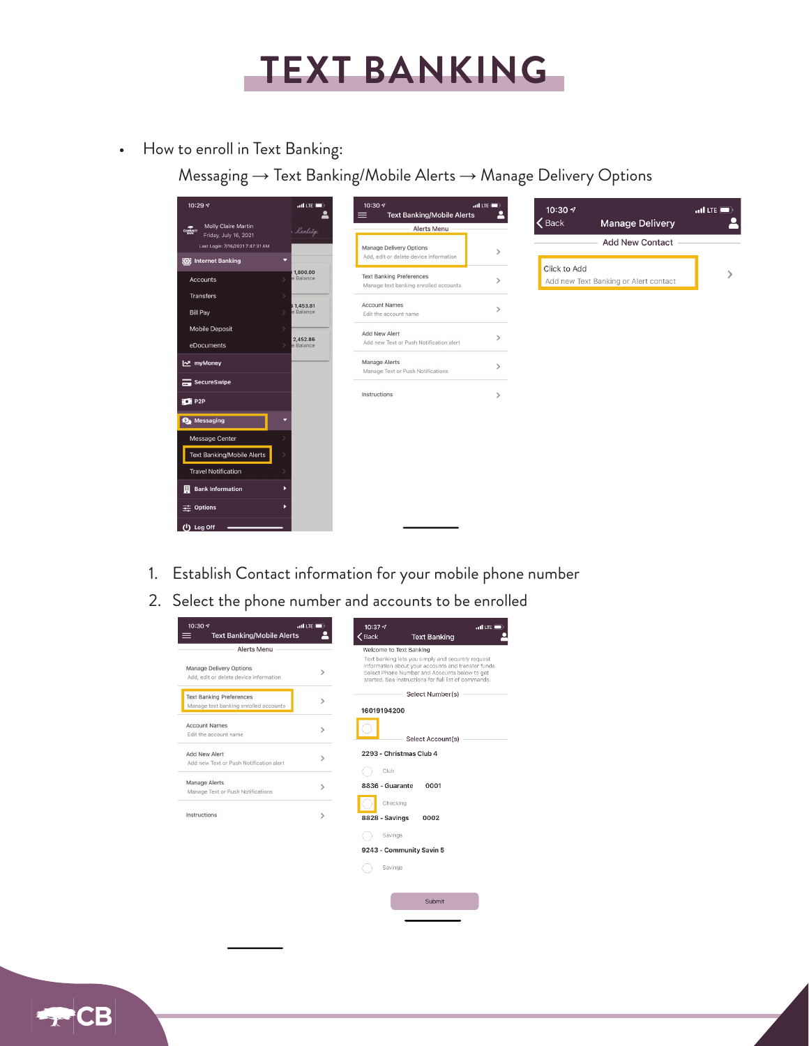

• How to enroll in Text Banking:

Messaging → Text Banking/Mobile Alerts → Manage Delivery Options

| 10:29 $\sqrt{ }$                                        | $n$ Il LTE $\Box$     | 10:30 +<br><b>Text Banking/Mobile Alerts</b><br>$\equiv$                 | $nH$ LTE $\blacksquare$<br>≗ | 10:30 $\sim$ |                                       | $.$ ul LTE $\blacksquare$ |
|---------------------------------------------------------|-----------------------|--------------------------------------------------------------------------|------------------------------|--------------|---------------------------------------|---------------------------|
| Molly Claire Martin<br>courser<br>Friday, July 16, 2021 | , Reality             | Alerts Menu                                                              |                              | $\zeta$ Back | <b>Manage Delivery</b>                |                           |
| Last Login: 7/16/2021 7:47:31 AM                        |                       | Manage Delivery Options                                                  | $\rightarrow$                |              | <b>Add New Contact</b>                |                           |
| <b>O:</b> Internet Banking                              | ۰                     | Add, edit or delete device information                                   |                              | Click to Add |                                       |                           |
| Accounts                                                | 1,800.00<br>e Balance | <b>Text Banking Preferences</b><br>Manage text banking enrolled accounts | $\rightarrow$                |              | Add new Text Banking or Alert contact |                           |
| Transfers                                               | \$1,453.81            | <b>Account Names</b>                                                     |                              |              |                                       |                           |
| <b>Bill Pay</b>                                         | e Balance             | Edit the account name                                                    | $\mathcal{L}$                |              |                                       |                           |
| Mobile Deposit                                          |                       | Add New Alert                                                            |                              |              |                                       |                           |
| eDocuments                                              | 2,452.86<br>e Balance | Add new Text or Push Notification alert                                  | ゝ                            |              |                                       |                           |
| MyMoney                                                 |                       | Manage Alerts<br>Manage Text or Push Notifications                       | $\mathcal{E}$                |              |                                       |                           |
| SecureSwipe                                             |                       |                                                                          |                              |              |                                       |                           |
| P2P                                                     |                       | Instructions                                                             | $\rightarrow$                |              |                                       |                           |
| <b>O</b> Messaging                                      |                       |                                                                          |                              |              |                                       |                           |
| Message Center                                          |                       |                                                                          |                              |              |                                       |                           |
| Text Banking/Mobile Alerts                              |                       |                                                                          |                              |              |                                       |                           |
| <b>Travel Notification</b>                              |                       |                                                                          |                              |              |                                       |                           |
| <b>Bank Information</b>                                 |                       |                                                                          |                              |              |                                       |                           |
| 三 Options                                               |                       |                                                                          |                              |              |                                       |                           |
| (1) Log Off                                             |                       |                                                                          |                              |              |                                       |                           |

- 1. Establish Contact information for your mobile phone number
- 2. Select the phone number and accounts to be enrolled



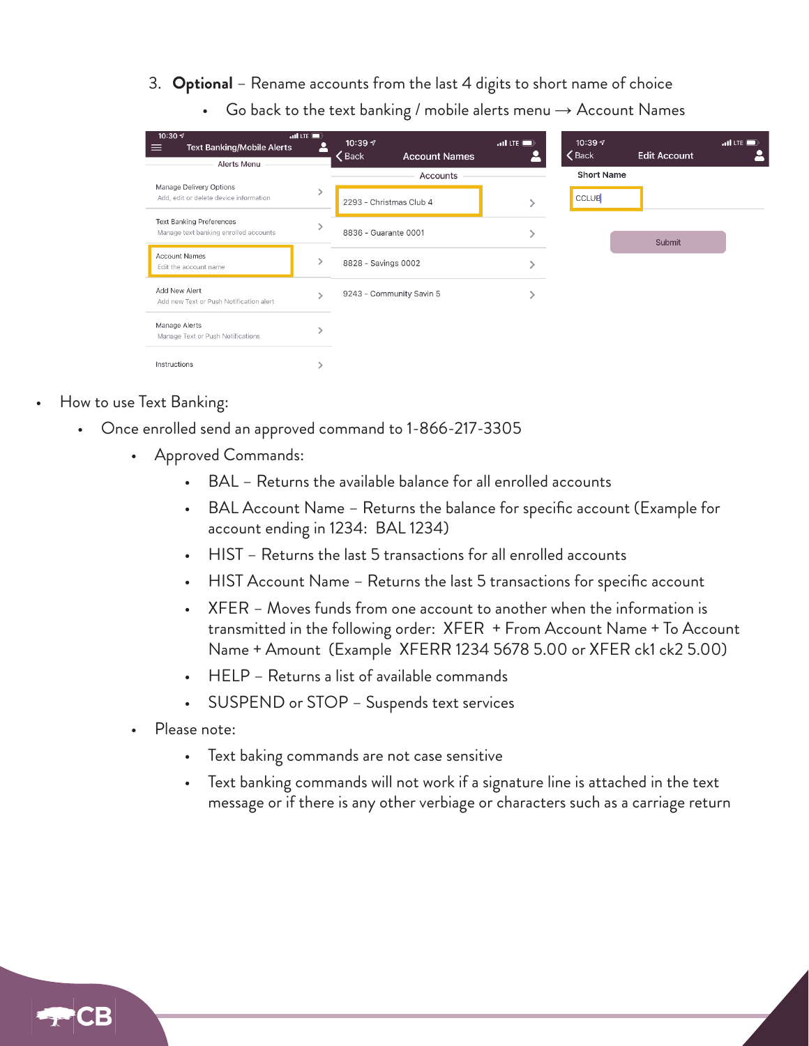- 3. **Optional** Rename accounts from the last 4 digits to short name of choice
	- Go back to the text banking / mobile alerts menu  $\rightarrow$  Account Names

| 10:30 $\sqrt{ }$<br>$\overline{a}$ of LTE $\blacksquare$<br><b>Text Banking/Mobile Alerts</b><br>$\equiv$<br>m<br>Alerts Menu |  | 10:39 $\sim$<br>$\zeta$ Back<br><b>Account Names</b> | $\mathbf{u}$ l LTE $\blacksquare$<br>Ρ | 10:39 $\sim$<br>$\zeta$ Back | <b>Edit Account</b> | $ul$ LTE $\blacksquare$ |
|-------------------------------------------------------------------------------------------------------------------------------|--|------------------------------------------------------|----------------------------------------|------------------------------|---------------------|-------------------------|
|                                                                                                                               |  | Accounts                                             |                                        | <b>Short Name</b>            |                     |                         |
| Manage Delivery Options<br>Add, edit or delete device information                                                             |  | 2293 - Christmas Club 4                              |                                        | <b>CCLUB</b>                 |                     |                         |
| <b>Text Banking Preferences</b><br>Manage text banking enrolled accounts                                                      |  | 8836 - Guarante 0001                                 |                                        |                              | Submit              |                         |
| <b>Account Names</b><br>Edit the account name                                                                                 |  | 8828 - Savings 0002                                  |                                        |                              |                     |                         |
| Add New Alert<br>Add new Text or Push Notification alert                                                                      |  | 9243 - Community Savin 5                             |                                        |                              |                     |                         |
| Manage Alerts<br>Manage Text or Push Notifications                                                                            |  |                                                      |                                        |                              |                     |                         |
| Instructions                                                                                                                  |  |                                                      |                                        |                              |                     |                         |

- How to use Text Banking:
	- Once enrolled send an approved command to 1-866-217-3305
		- Approved Commands:
			- BAL Returns the available balance for all enrolled accounts
			- BAL Account Name Returns the balance for specific account (Example for account ending in 1234: BAL 1234)
			- HIST Returns the last 5 transactions for all enrolled accounts
			- HIST Account Name Returns the last 5 transactions for specific account
			- XFER Moves funds from one account to another when the information is transmitted in the following order: XFER + From Account Name + To Account Name + Amount (Example XFERR 1234 5678 5.00 or XFER ck1 ck2 5.00)
			- HELP Returns a list of available commands
			- SUSPEND or STOP Suspends text services
		- Please note:
			- Text baking commands are not case sensitive
			- Text banking commands will not work if a signature line is attached in the text message or if there is any other verbiage or characters such as a carriage return